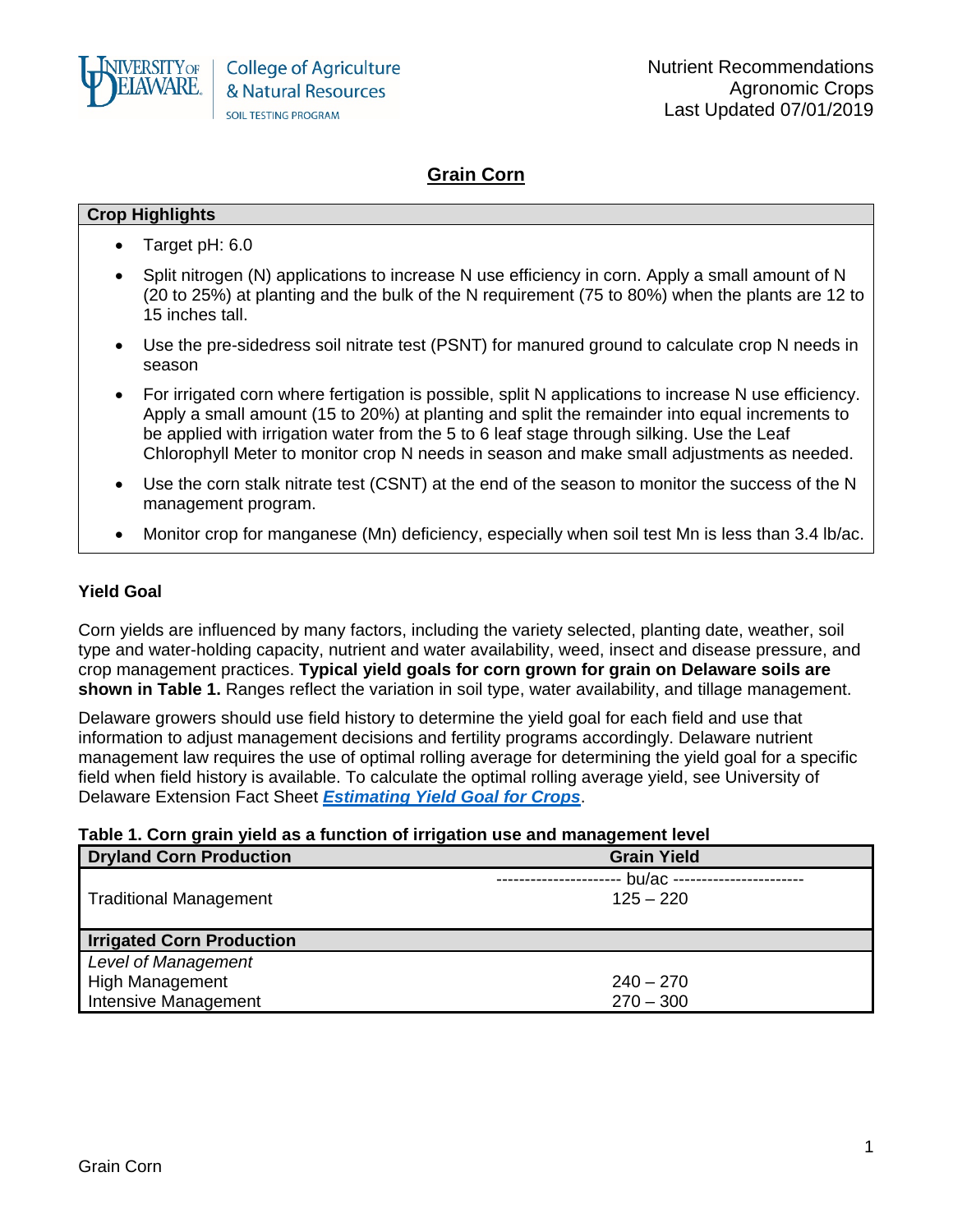

# **Grain Corn**

#### **Crop Highlights**

- Target pH: 6.0
- Split nitrogen (N) applications to increase N use efficiency in corn. Apply a small amount of N (20 to 25%) at planting and the bulk of the N requirement (75 to 80%) when the plants are 12 to 15 inches tall.
- Use the pre-sidedress soil nitrate test (PSNT) for manured ground to calculate crop N needs in season
- For irrigated corn where fertigation is possible, split N applications to increase N use efficiency. Apply a small amount (15 to 20%) at planting and split the remainder into equal increments to be applied with irrigation water from the 5 to 6 leaf stage through silking. Use the Leaf Chlorophyll Meter to monitor crop N needs in season and make small adjustments as needed.
- Use the corn stalk nitrate test (CSNT) at the end of the season to monitor the success of the N management program.
- Monitor crop for manganese (Mn) deficiency, especially when soil test Mn is less than 3.4 lb/ac.

### **Yield Goal**

Corn yields are influenced by many factors, including the variety selected, planting date, weather, soil type and water-holding capacity, nutrient and water availability, weed, insect and disease pressure, and crop management practices. **Typical yield goals for corn grown for grain on Delaware soils are shown in Table 1.** Ranges reflect the variation in soil type, water availability, and tillage management.

Delaware growers should use field history to determine the yield goal for each field and use that information to adjust management decisions and fertility programs accordingly. Delaware nutrient management law requires the use of optimal rolling average for determining the yield goal for a specific field when field history is available. To calculate the optimal rolling average yield, see University of Delaware Extension Fact Sheet *[Estimating Yield Goal for Crops](http://extension.udel.edu/factsheets/estimating-yield-goal-for-crops/)*.

### **Table 1. Corn grain yield as a function of irrigation use and management level**

| <b>Dryland Corn Production</b>   | <b>Grain Yield</b> |
|----------------------------------|--------------------|
|                                  | bu/ac $--$         |
| <b>Traditional Management</b>    | $125 - 220$        |
|                                  |                    |
| <b>Irrigated Corn Production</b> |                    |
| <b>Level of Management</b>       |                    |
| <b>High Management</b>           | $240 - 270$        |
| Intensive Management             | $270 - 300$        |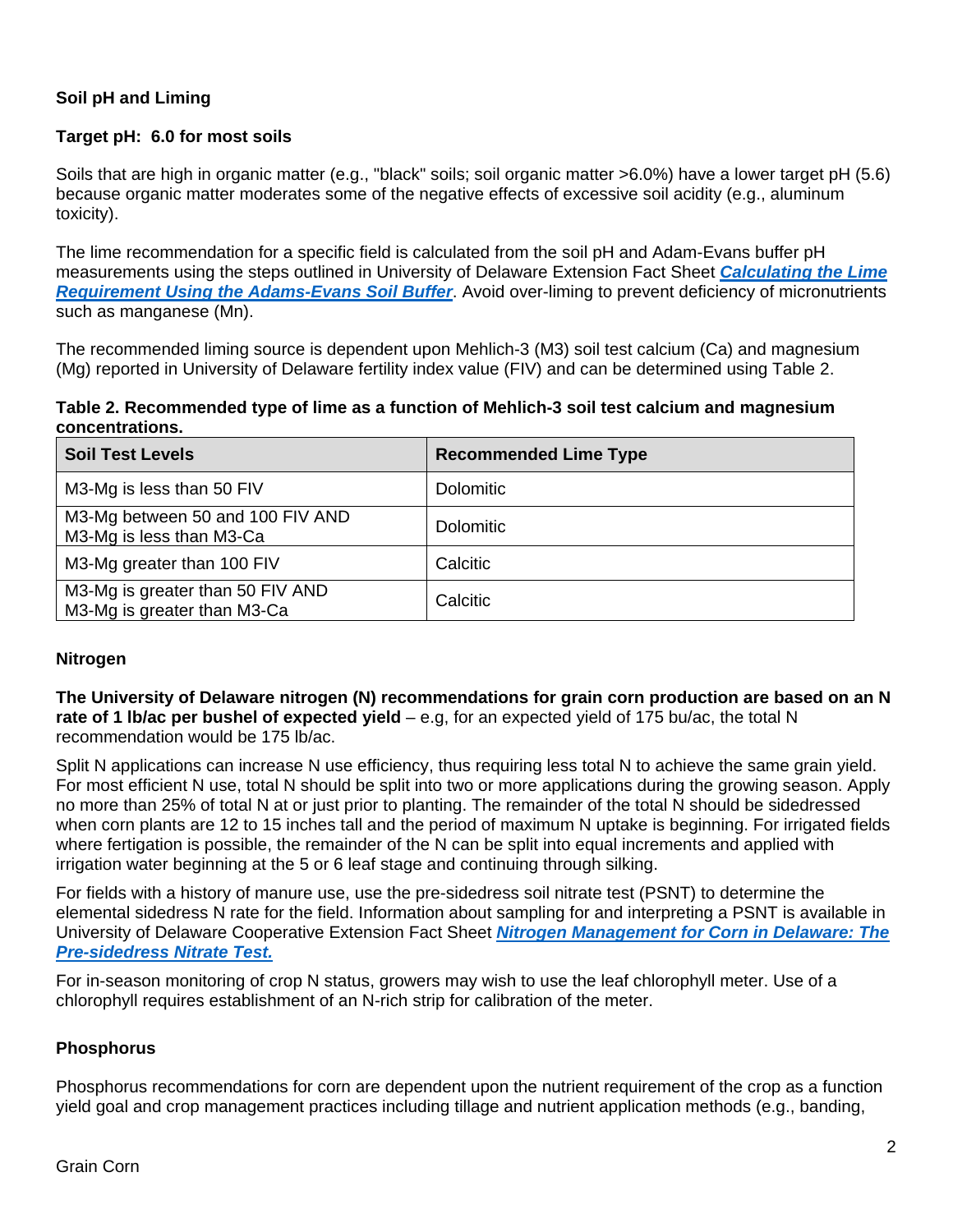# **Soil pH and Liming**

### **Target pH: 6.0 for most soils**

Soils that are high in organic matter (e.g., "black" soils; soil organic matter >6.0%) have a lower target pH (5.6) because organic matter moderates some of the negative effects of excessive soil acidity (e.g., aluminum toxicity).

The lime recommendation for a specific field is calculated from the soil pH and Adam-Evans buffer pH measurements using the steps outlined in University of Delaware Extension Fact Sheet *[Calculating the Lime](http://extension.udel.edu/factsheets/lime-recommendation-adams-evans-buffer/)  [Requirement Using the Adams-Evans Soil Buffer](http://extension.udel.edu/factsheets/lime-recommendation-adams-evans-buffer/)*. Avoid over-liming to prevent deficiency of micronutrients such as manganese (Mn).

The recommended liming source is dependent upon Mehlich-3 (M3) soil test calcium (Ca) and magnesium (Mg) reported in University of Delaware fertility index value (FIV) and can be determined using Table 2.

### **Table 2. Recommended type of lime as a function of Mehlich-3 soil test calcium and magnesium concentrations.**

| <b>Soil Test Levels</b>                                         | <b>Recommended Lime Type</b> |
|-----------------------------------------------------------------|------------------------------|
| M3-Mg is less than 50 FIV                                       | <b>Dolomitic</b>             |
| M3-Mg between 50 and 100 FIV AND<br>M3-Mg is less than M3-Ca    | <b>Dolomitic</b>             |
| M3-Mg greater than 100 FIV                                      | Calcitic                     |
| M3-Mg is greater than 50 FIV AND<br>M3-Mg is greater than M3-Ca | Calcitic                     |

### **Nitrogen**

**The University of Delaware nitrogen (N) recommendations for grain corn production are based on an N rate of 1 lb/ac per bushel of expected yield** – e.g, for an expected yield of 175 bu/ac, the total N recommendation would be 175 lb/ac.

Split N applications can increase N use efficiency, thus requiring less total N to achieve the same grain yield. For most efficient N use, total N should be split into two or more applications during the growing season. Apply no more than 25% of total N at or just prior to planting. The remainder of the total N should be sidedressed when corn plants are 12 to 15 inches tall and the period of maximum N uptake is beginning. For irrigated fields where fertigation is possible, the remainder of the N can be split into equal increments and applied with irrigation water beginning at the 5 or 6 leaf stage and continuing through silking.

For fields with a history of manure use, use the pre-sidedress soil nitrate test (PSNT) to determine the elemental sidedress N rate for the field. Information about sampling for and interpreting a PSNT is available in University of Delaware Cooperative Extension Fact Sheet *[Nitrogen Management for Corn in Delaware: The](http://extension.udel.edu/factsheets/nitrogen-management-for-corn-in-delaware-the-pre-sidedress-nitrate-test/)  [Pre-sidedress Nitrate Test.](http://extension.udel.edu/factsheets/nitrogen-management-for-corn-in-delaware-the-pre-sidedress-nitrate-test/)*

For in-season monitoring of crop N status, growers may wish to use the leaf chlorophyll meter. Use of a chlorophyll requires establishment of an N-rich strip for calibration of the meter.

### **Phosphorus**

Phosphorus recommendations for corn are dependent upon the nutrient requirement of the crop as a function yield goal and crop management practices including tillage and nutrient application methods (e.g., banding,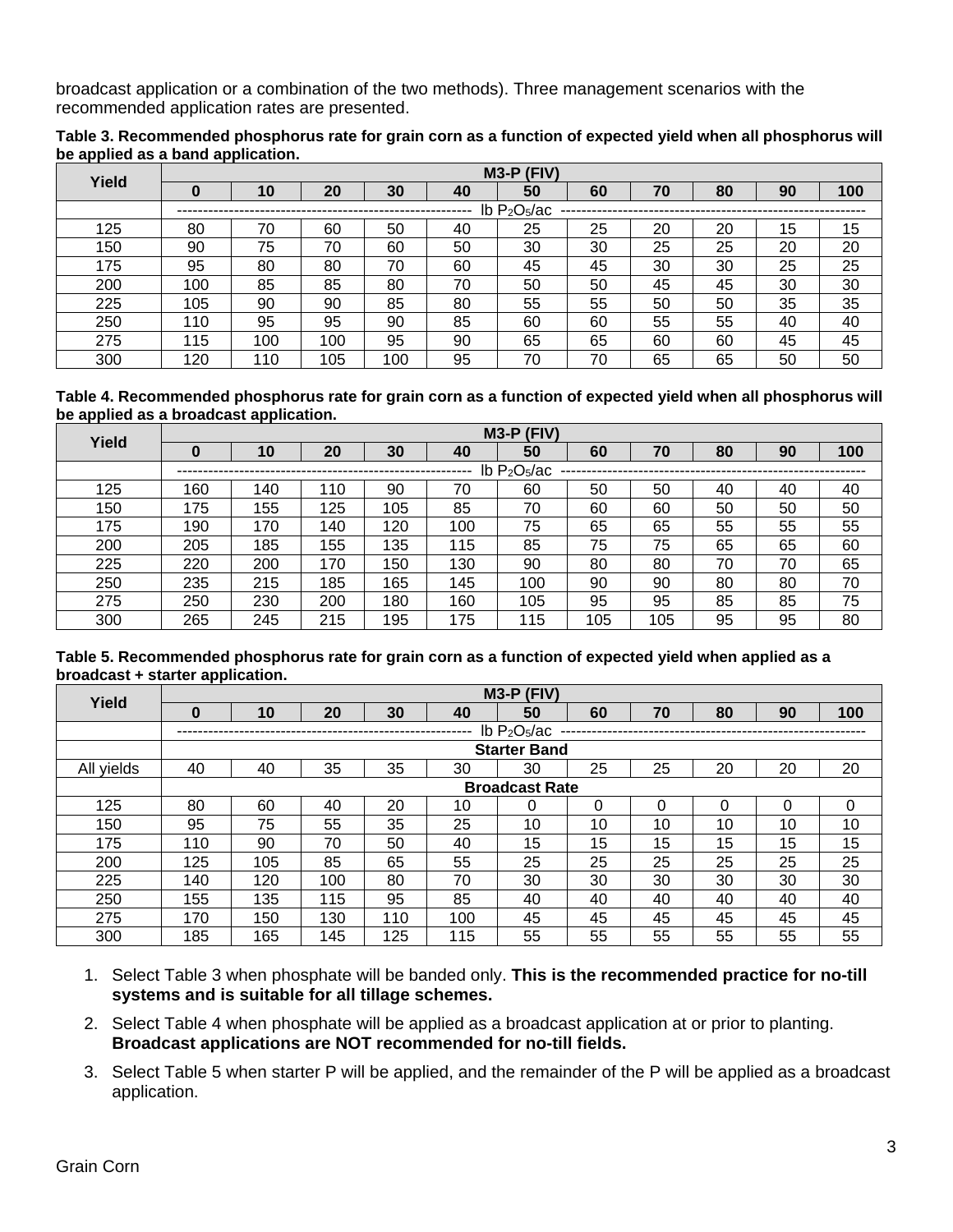broadcast application or a combination of the two methods). Three management scenarios with the recommended application rates are presented.

|                                   | Table 3. Recommended phosphorus rate for grain corn as a function of expected yield when all phosphorus will |
|-----------------------------------|--------------------------------------------------------------------------------------------------------------|
| be applied as a band application. |                                                                                                              |

| Yield | $M3-P$ (FIV)                           |     |     |     |    |    |    |    |    |    |     |  |
|-------|----------------------------------------|-----|-----|-----|----|----|----|----|----|----|-----|--|
|       | O                                      | 10  | 20  | 30  | 40 | 50 | 60 | 70 | 80 | 90 | 100 |  |
|       | $lb$ P <sub>2</sub> O <sub>5</sub> /ac |     |     |     |    |    |    |    |    |    |     |  |
| 125   | 80                                     | 70  | 60  | 50  | 40 | 25 | 25 | 20 | 20 | 15 | 15  |  |
| 150   | 90                                     | 75  | 70  | 60  | 50 | 30 | 30 | 25 | 25 | 20 | 20  |  |
| 175   | 95                                     | 80  | 80  | 70  | 60 | 45 | 45 | 30 | 30 | 25 | 25  |  |
| 200   | 100                                    | 85  | 85  | 80  | 70 | 50 | 50 | 45 | 45 | 30 | 30  |  |
| 225   | 105                                    | 90  | 90  | 85  | 80 | 55 | 55 | 50 | 50 | 35 | 35  |  |
| 250   | 110                                    | 95  | 95  | 90  | 85 | 60 | 60 | 55 | 55 | 40 | 40  |  |
| 275   | 115                                    | 100 | 100 | 95  | 90 | 65 | 65 | 60 | 60 | 45 | 45  |  |
| 300   | 120                                    | 110 | 105 | 100 | 95 | 70 | 70 | 65 | 65 | 50 | 50  |  |

**Table 4. Recommended phosphorus rate for grain corn as a function of expected yield when all phosphorus will be applied as a broadcast application.** 

|     | $M3-P$ (FIV)<br>Yield |                |     |     |     |     |     |     |    |    |     |  |  |
|-----|-----------------------|----------------|-----|-----|-----|-----|-----|-----|----|----|-----|--|--|
|     | O                     | 10             | 20  | 30  | 40  | 50  | 60  | 70  | 80 | 90 | 100 |  |  |
|     |                       | Ib $P_2O_5/ac$ |     |     |     |     |     |     |    |    |     |  |  |
| 125 | 160                   | 140            | 110 | 90  | 70  | 60  | 50  | 50  | 40 | 40 | 40  |  |  |
| 150 | 175                   | 155            | 125 | 105 | 85  | 70  | 60  | 60  | 50 | 50 | 50  |  |  |
| 175 | 190                   | 170            | 140 | 120 | 100 | 75  | 65  | 65  | 55 | 55 | 55  |  |  |
| 200 | 205                   | 185            | 155 | 135 | 115 | 85  | 75  | 75  | 65 | 65 | 60  |  |  |
| 225 | 220                   | 200            | 170 | 150 | 130 | 90  | 80  | 80  | 70 | 70 | 65  |  |  |
| 250 | 235                   | 215            | 185 | 165 | 145 | 100 | 90  | 90  | 80 | 80 | 70  |  |  |
| 275 | 250                   | 230            | 200 | 180 | 160 | 105 | 95  | 95  | 85 | 85 | 75  |  |  |
| 300 | 265                   | 245            | 215 | 195 | 175 | 115 | 105 | 105 | 95 | 95 | 80  |  |  |

**Table 5. Recommended phosphorus rate for grain corn as a function of expected yield when applied as a broadcast + starter application.** 

| Yield      |                                        |     |     |     |     | $M3-P$ (FIV)        |    |          |          |    |              |  |  |
|------------|----------------------------------------|-----|-----|-----|-----|---------------------|----|----------|----------|----|--------------|--|--|
|            | $\bf{0}$                               | 10  | 20  | 30  | 40  | 50                  | 60 | 70       | 80       | 90 | 100          |  |  |
|            | $lb$ P <sub>2</sub> O <sub>5</sub> /ac |     |     |     |     |                     |    |          |          |    |              |  |  |
|            |                                        |     |     |     |     | <b>Starter Band</b> |    |          |          |    |              |  |  |
| All yields | 40                                     | 40  | 35  | 35  | 30  | 30                  | 25 | 25       | 20       | 20 | 20           |  |  |
|            | <b>Broadcast Rate</b>                  |     |     |     |     |                     |    |          |          |    |              |  |  |
| 125        | 80                                     | 60  | 40  | 20  | 10  |                     | 0  | $\Omega$ | $\Omega$ | 0  | $\mathbf{0}$ |  |  |
| 150        | 95                                     | 75  | 55  | 35  | 25  | 10                  | 10 | 10       | 10       | 10 | 10           |  |  |
| 175        | 110                                    | 90  | 70  | 50  | 40  | 15                  | 15 | 15       | 15       | 15 | 15           |  |  |
| 200        | 125                                    | 105 | 85  | 65  | 55  | 25                  | 25 | 25       | 25       | 25 | 25           |  |  |
| 225        | 140                                    | 120 | 100 | 80  | 70  | 30                  | 30 | 30       | 30       | 30 | 30           |  |  |
| 250        | 155                                    | 135 | 115 | 95  | 85  | 40                  | 40 | 40       | 40       | 40 | 40           |  |  |
| 275        | 170                                    | 150 | 130 | 110 | 100 | 45                  | 45 | 45       | 45       | 45 | 45           |  |  |
| 300        | 185                                    | 165 | 145 | 125 | 115 | 55                  | 55 | 55       | 55       | 55 | 55           |  |  |

- 1. Select Table 3 when phosphate will be banded only. **This is the recommended practice for no-till systems and is suitable for all tillage schemes.**
- 2. Select Table 4 when phosphate will be applied as a broadcast application at or prior to planting. **Broadcast applications are NOT recommended for no-till fields.**
- 3. Select Table 5 when starter P will be applied, and the remainder of the P will be applied as a broadcast application.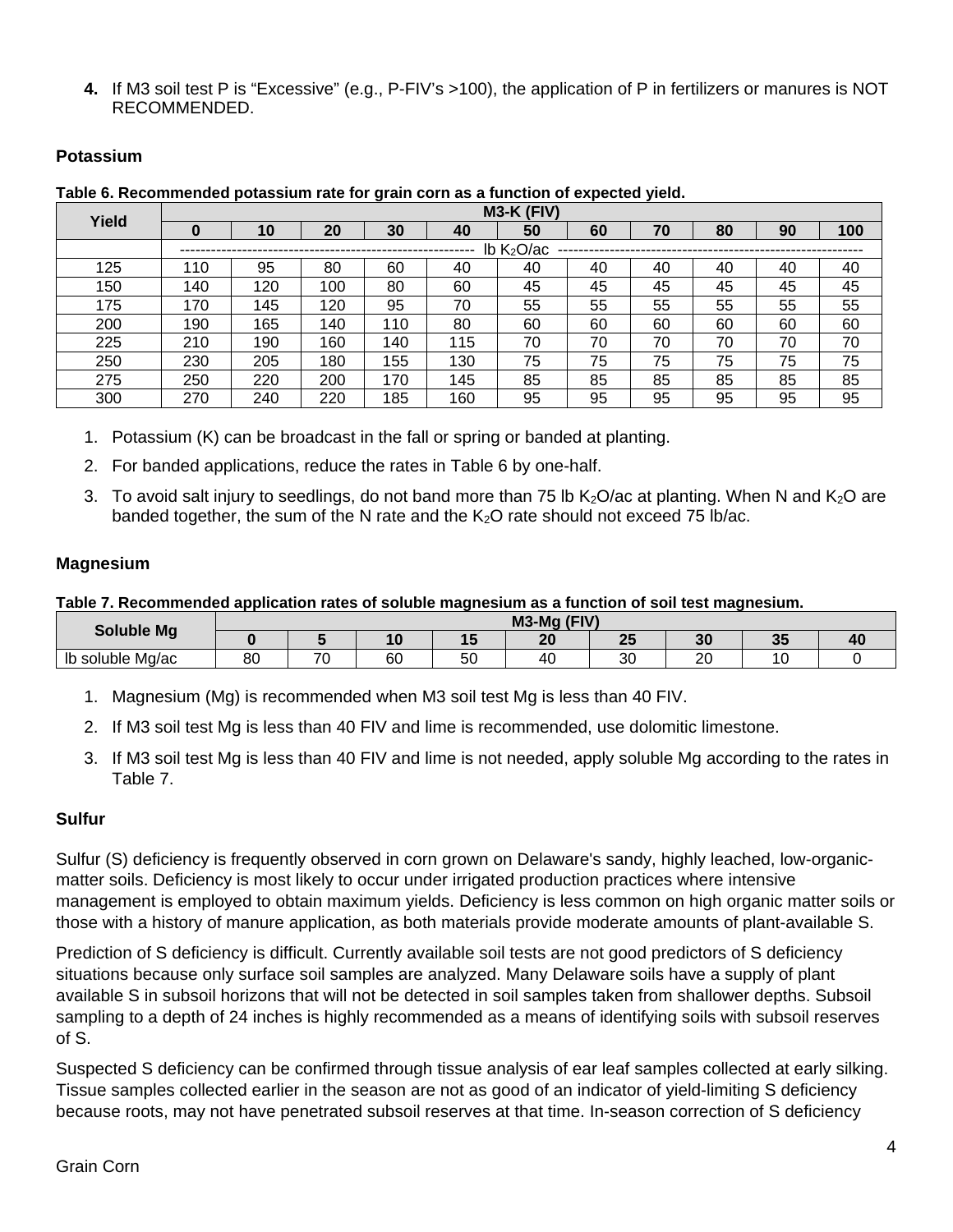**4.** If M3 soil test P is "Excessive" (e.g., P-FIV's >100), the application of P in fertilizers or manures is NOT RECOMMENDED.

### **Potassium**

**Table 6. Recommended potassium rate for grain corn as a function of expected yield.** 

| Yield | $M3-K$ (FIV)           |     |     |     |     |    |    |    |    |    |     |  |
|-------|------------------------|-----|-----|-----|-----|----|----|----|----|----|-----|--|
|       | 0                      | 10  | 20  | 30  | 40  | 50 | 60 | 70 | 80 | 90 | 100 |  |
|       | Ib K <sub>2</sub> O/ac |     |     |     |     |    |    |    |    |    |     |  |
| 125   | 110                    | 95  | 80  | 60  | 40  | 40 | 40 | 40 | 40 | 40 | 40  |  |
| 150   | 140                    | 120 | 100 | 80  | 60  | 45 | 45 | 45 | 45 | 45 | 45  |  |
| 175   | 170                    | 145 | 120 | 95  | 70  | 55 | 55 | 55 | 55 | 55 | 55  |  |
| 200   | 190                    | 165 | 140 | 110 | 80  | 60 | 60 | 60 | 60 | 60 | 60  |  |
| 225   | 210                    | 190 | 160 | 140 | 115 | 70 | 70 | 70 | 70 | 70 | 70  |  |
| 250   | 230                    | 205 | 180 | 155 | 130 | 75 | 75 | 75 | 75 | 75 | 75  |  |
| 275   | 250                    | 220 | 200 | 170 | 145 | 85 | 85 | 85 | 85 | 85 | 85  |  |
| 300   | 270                    | 240 | 220 | 185 | 160 | 95 | 95 | 95 | 95 | 95 | 95  |  |

- 1. Potassium (K) can be broadcast in the fall or spring or banded at planting.
- 2. For banded applications, reduce the rates in Table 6 by one-half.
- 3. To avoid salt injury to seedlings, do not band more than 75 lb  $K_2O/ac$  at planting. When N and  $K_2O$  are banded together, the sum of the N rate and the  $K_2O$  rate should not exceed 75 lb/ac.

### **Magnesium**

#### **Table 7. Recommended application rates of soluble magnesium as a function of soil test magnesium.**

| Soluble Mg                 |               |                          |    |           | $M3-Mq$ (FIV) |    |                       |    |  |
|----------------------------|---------------|--------------------------|----|-----------|---------------|----|-----------------------|----|--|
|                            |               |                          | י  |           | n n<br>--     | -- | 2 <sub>0</sub><br>oc. | v. |  |
| lb<br>. .<br>soluble Mg/ac | $\circ$<br>οι | $\overline{\phantom{a}}$ | 60 | r c<br>ວບ | ∽<br>~        | 3C | ററ<br>∠∪              |    |  |

- 1. Magnesium (Mg) is recommended when M3 soil test Mg is less than 40 FIV.
- 2. If M3 soil test Mg is less than 40 FIV and lime is recommended, use dolomitic limestone.
- 3. If M3 soil test Mg is less than 40 FIV and lime is not needed, apply soluble Mg according to the rates in Table 7.

### **Sulfur**

Sulfur (S) deficiency is frequently observed in corn grown on Delaware's sandy, highly leached, low-organicmatter soils. Deficiency is most likely to occur under irrigated production practices where intensive management is employed to obtain maximum yields. Deficiency is less common on high organic matter soils or those with a history of manure application, as both materials provide moderate amounts of plant-available S.

Prediction of S deficiency is difficult. Currently available soil tests are not good predictors of S deficiency situations because only surface soil samples are analyzed. Many Delaware soils have a supply of plant available S in subsoil horizons that will not be detected in soil samples taken from shallower depths. Subsoil sampling to a depth of 24 inches is highly recommended as a means of identifying soils with subsoil reserves of S.

Suspected S deficiency can be confirmed through tissue analysis of ear leaf samples collected at early silking. Tissue samples collected earlier in the season are not as good of an indicator of yield-limiting S deficiency because roots, may not have penetrated subsoil reserves at that time. In-season correction of S deficiency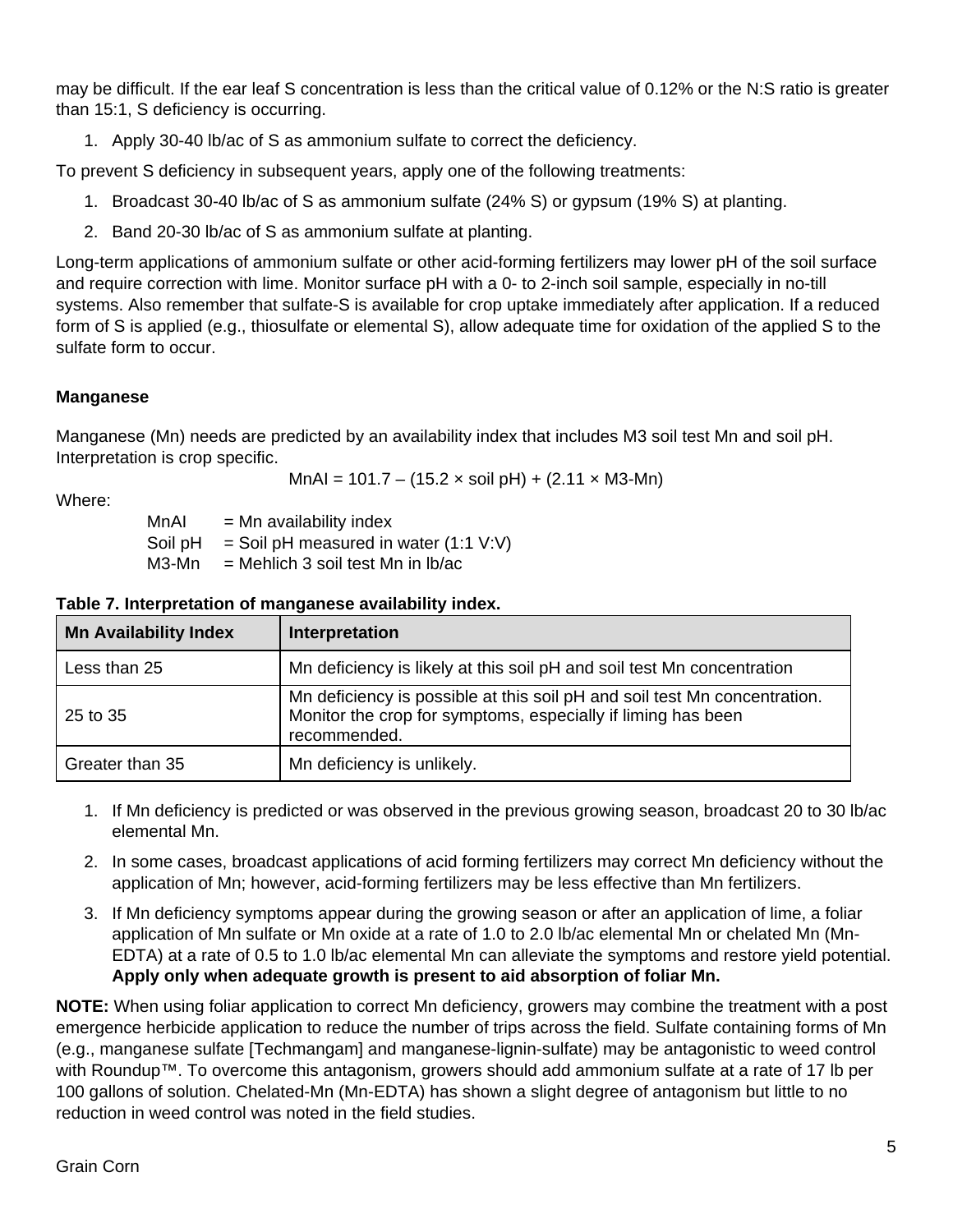may be difficult. If the ear leaf S concentration is less than the critical value of 0.12% or the N:S ratio is greater than 15:1, S deficiency is occurring.

1. Apply 30-40 lb/ac of S as ammonium sulfate to correct the deficiency.

To prevent S deficiency in subsequent years, apply one of the following treatments:

- 1. Broadcast 30-40 lb/ac of S as ammonium sulfate (24% S) or gypsum (19% S) at planting.
- 2. Band 20-30 lb/ac of S as ammonium sulfate at planting.

Long-term applications of ammonium sulfate or other acid-forming fertilizers may lower pH of the soil surface and require correction with lime. Monitor surface pH with a 0- to 2-inch soil sample, especially in no-till systems. Also remember that sulfate-S is available for crop uptake immediately after application. If a reduced form of S is applied (e.g., thiosulfate or elemental S), allow adequate time for oxidation of the applied S to the sulfate form to occur.

### **Manganese**

Manganese (Mn) needs are predicted by an availability index that includes M3 soil test Mn and soil pH. Interpretation is crop specific.

 $MnAl = 101.7 - (15.2 \times soil pH) + (2.11 \times M3-Mn)$ 

Where:

 $MnAl = Mn$  availability index

Soil  $pH =$  Soil  $pH$  measured in water (1:1 V:V)

 $M3-Mn = Mehlich 3 soil test Mn in Ib/ac$ 

| <b>Mn Availability Index</b> | Interpretation                                                                                                                                            |
|------------------------------|-----------------------------------------------------------------------------------------------------------------------------------------------------------|
| Less than 25                 | Mn deficiency is likely at this soil pH and soil test Mn concentration                                                                                    |
| 25 to 35                     | Mn deficiency is possible at this soil pH and soil test Mn concentration.<br>Monitor the crop for symptoms, especially if liming has been<br>recommended. |
| Greater than 35              | Mn deficiency is unlikely.                                                                                                                                |

#### **Table 7. Interpretation of manganese availability index.**

- 1. If Mn deficiency is predicted or was observed in the previous growing season, broadcast 20 to 30 lb/ac elemental Mn.
- 2. In some cases, broadcast applications of acid forming fertilizers may correct Mn deficiency without the application of Mn; however, acid-forming fertilizers may be less effective than Mn fertilizers.
- 3. If Mn deficiency symptoms appear during the growing season or after an application of lime, a foliar application of Mn sulfate or Mn oxide at a rate of 1.0 to 2.0 lb/ac elemental Mn or chelated Mn (Mn-EDTA) at a rate of 0.5 to 1.0 lb/ac elemental Mn can alleviate the symptoms and restore yield potential. **Apply only when adequate growth is present to aid absorption of foliar Mn.**

**NOTE:** When using foliar application to correct Mn deficiency, growers may combine the treatment with a post emergence herbicide application to reduce the number of trips across the field. Sulfate containing forms of Mn (e.g., manganese sulfate [Techmangam] and manganese-lignin-sulfate) may be antagonistic to weed control with Roundup™. To overcome this antagonism, growers should add ammonium sulfate at a rate of 17 lb per 100 gallons of solution. Chelated-Mn (Mn-EDTA) has shown a slight degree of antagonism but little to no reduction in weed control was noted in the field studies.